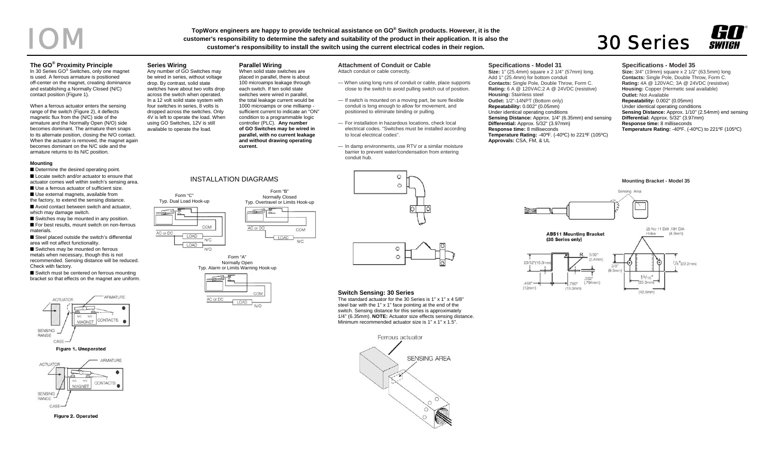# TopWorx engineers are happy to provide technical assistance on GO® Switch products. However, it is the<br>customer's responsibility to determine the safety and suitability of the product in their application. It is also the<br>

#### **The GO® Proximity Principle**

In 30 Series GO<sup>®</sup> Switches, only one magnet is used. A ferrous armature is positioned off-center on the magnet, creating dominance and establishing a Normally Closed (N/C) contact position (Figure 1).

When a ferrous actuator enters the sensing range of the switch (Figure 2), it deflects magnetic flux from the (N/C) side of the armature and the Normally Open (N/O) side becomes dominant. The armature then snaps to its alternate position, closing the N/O contact. When the actuator is removed, the magnet again becomes dominant on the N/C side and the armature returns to its N/C position.

#### **Mounting**

■ Determine the desired operating point. ■ Locate switch and/or actuator to ensure that actuator comes well within switch's sensing area. ■ Use a ferrous actuator of sufficient size. ■ Use external magnets, available from the factory, to extend the sensing distance. ■ Avoid contact between switch and actuator, which may damage switch.

■ Switches may be mounted in any position. ■ For best results, mount switch on non-ferrous materials.

■ Steel placed outside the switch's differential area will not affect functionality. ■ Switches may be mounted on ferrous metals when necessary, though this is not recommended. Sensing distance will be reduced. Check with factory.

■ Switch must be centered on ferrous mounting bracket so that effects on the magnet are uniform.



**Figure 1. Unoperated** 





## **Series Wiring**

Form "C" Typ. Dual Load Hook-up

**LOAD** 

OAD

AC or DC

COM

 $N/C$ 

 $N/O$ 

AC or DC

Any number of GO Switches may be wired in series, without voltage drop. By contrast, solid state switches have about two volts drop across the switch when operated. In a 12 volt solid state system with four switches in series, 8 volts is dropped across the switches. Only 4V is left to operate the load. When using GO Switches, 12V is still available to operate the load.

INSTALLATION DIAGRAMS

Form "A" Normally Open Typ. Alarm or Limits Warning Hook-up

AC or DC

COM

### **Parallel Wiring**

When solid state switches are placed in parallel, there is about 100 microamps leakage through each switch. If ten solid state switches were wired in parallel, the total leakage current would be 1000 microamps or one milliamp sufficient current to indicate an "ON" condition to a programmable logic controller (PLC). **Any number of GO Switches may be wired in parallel, with no current leakage and without drawing operating current.** 

> Form "B" Normally Closed Typ. Overtravel or Limits Hook-up

> > LOAD

COM

N/C

#### **Attachment of Conduit or Cable**

Attach conduit or cable correctly.

- When using long runs of conduit or cable, place supports close to the switch to avoid pulling switch out of position.
- If switch is mounted on a moving part, be sure flexible conduit is long enough to allow for movement, and positioned to eliminate binding or pulling.
- For installation in hazardous locations, check local electrical codes. "Switches must be installed according to local electrical codes".
- In damp environments, use RTV or a similar moisture barrier to prevent water/condensation from entering conduit hub.

#### **Specifications - Model 31**

**Size:** 1" (25.4mm) square x 2 1/4" (57mm) long. Add 1" (25.4mm) for bottom conduit **Contacts:** Single Pole, Double Throw, Form C. **Rating:** 6 A @ 120VAC;2 A @ 24VDC (resistive) **Housing:** Stainless steel **Outlet:** 1/2"-14NPT (Bottom only) **Repeatability:** 0.002" (0.05mm) Under identical operating conditions **Sensing Distance:** Approx. 1/4" (6.35mm) end sensing **Differential:** Approx. 5/32" (3.97mm) **Response time:** 8 milliseconds **Temperature Rating:** -40ºF. (-40ºC) to 221ºF (105ºC) **Approvals:** CSA, FM, & UL

#### **Specifications - Model 35**

**Size:** 3/4" (19mm) square x 2 1/2" (63.5mm) long **Contacts:** Single Pole, Double Throw, Form C. **Rating:** 4A @ 120VAC; 3A @ 24VDC (resistive) **Housing:** Copper (Hermetic seal available) **Outlet:** Not Available **Repeatability:** 0.002" (0.05mm) Under identical operating conditions **Sensing Distance:** Approx. 1/10" (2.54mm) end sensing **Differential:** Approx. 5/32" (3.97mm) **Response time:** 8 milliseconds **Temperature Rating:** -40ºF. (-40ºC) to 221ºF (105ºC)





#### **Switch Sensing: 30 Series**

The standard actuator for the 30 Series is 1" x 1" x 4 5/8" steel bar with the 1" x 1" face pointing at the end of the switch. Sensing distance for this series is approximately 1/4" (6.35mm). **NOTE:** Actuator size effects sensing distance. Minimum recommended actuator size is 1" x 1" x 1.5".